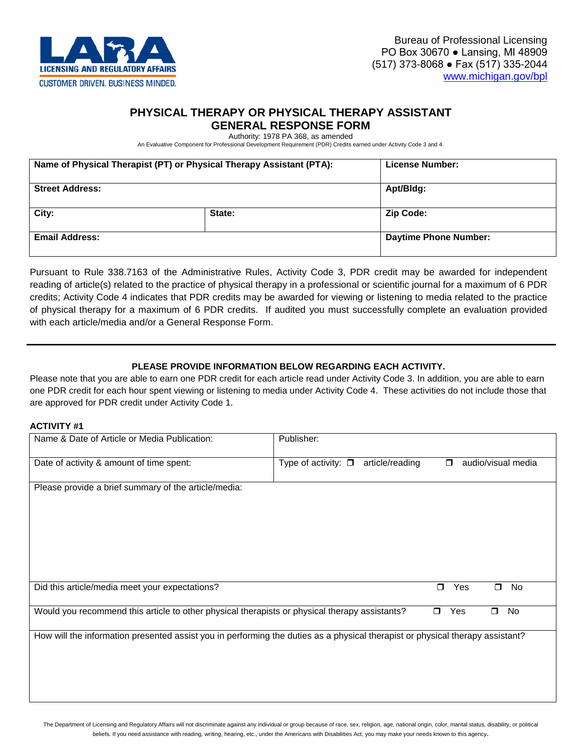

# **PHYSICAL THERAPY OR PHYSICAL THERAPY ASSISTANT**

## **GENERAL RESPONSE FORM**

Authority: 1978 PA 368, as amended

An Evaluative Component for Professional Development Requirement (PDR) Credits earned under Activity Code 3 and 4.

| Name of Physical Therapist (PT) or Physical Therapy Assistant (PTA): |        | License Number:              |
|----------------------------------------------------------------------|--------|------------------------------|
| <b>Street Address:</b>                                               |        | Apt/Bldg:                    |
| City:                                                                | State: | <b>Zip Code:</b>             |
| <b>Email Address:</b>                                                |        | <b>Daytime Phone Number:</b> |

Pursuant to Rule 338.7163 of the Administrative Rules, Activity Code 3, PDR credit may be awarded for independent reading of article(s) related to the practice of physical therapy in a professional or scientific journal for a maximum of 6 PDR credits; Activity Code 4 indicates that PDR credits may be awarded for viewing or listening to media related to the practice of physical therapy for a maximum of 6 PDR credits. If audited you must successfully complete an evaluation provided with each article/media and/or a General Response Form.

#### **PLEASE PROVIDE INFORMATION BELOW REGARDING EACH ACTIVITY.**

Please note that you are able to earn one PDR credit for each article read under Activity Code 3. In addition, you are able to earn one PDR credit for each hour spent viewing or listening to media under Activity Code 4. These activities do not include those that are approved for PDR credit under Activity Code 1.

#### **ACTIVITY #1**

| Name & Date of Article or Media Publication:                                                                                   | Publisher:                                                                  |  |  |  |
|--------------------------------------------------------------------------------------------------------------------------------|-----------------------------------------------------------------------------|--|--|--|
| Date of activity & amount of time spent:                                                                                       | audio/visual media<br>Type of activity: $\square$ article/reading<br>$\Box$ |  |  |  |
| Please provide a brief summary of the article/media:                                                                           |                                                                             |  |  |  |
| Did this article/media meet your expectations?                                                                                 | Yes<br>No<br>$\Box$<br>$\Box$                                               |  |  |  |
| Yes<br>Would you recommend this article to other physical therapists or physical therapy assistants?<br>$\Box$<br>No<br>$\Box$ |                                                                             |  |  |  |
| How will the information presented assist you in performing the duties as a physical therapist or physical therapy assistant?  |                                                                             |  |  |  |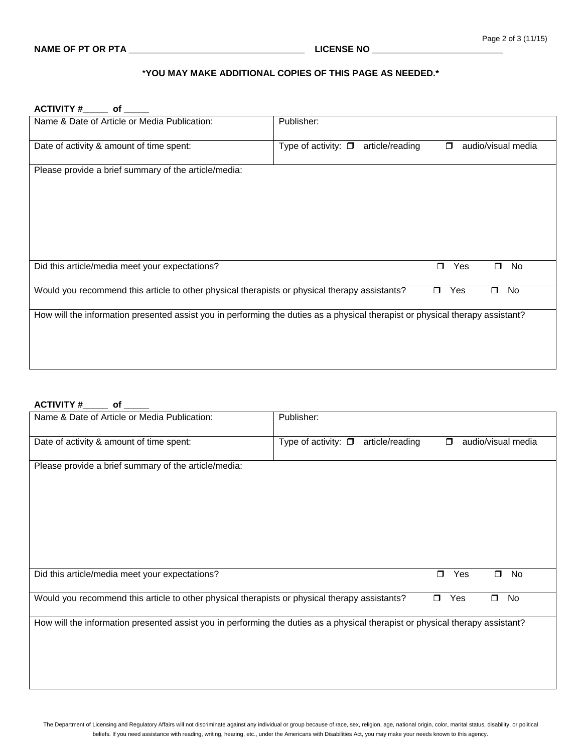#### \***YOU MAY MAKE ADDITIONAL COPIES OF THIS PAGE AS NEEDED.\***

**ACTIVITY #\_\_\_\_\_ of \_\_\_\_\_**

| Name & Date of Article or Media Publication:                                                                                   | Publisher:                                                                                                                    |  |  |
|--------------------------------------------------------------------------------------------------------------------------------|-------------------------------------------------------------------------------------------------------------------------------|--|--|
| Date of activity & amount of time spent:                                                                                       | Type of activity: $\square$<br>article/reading<br>audio/visual media<br>$\blacksquare$                                        |  |  |
| Please provide a brief summary of the article/media:                                                                           |                                                                                                                               |  |  |
| Did this article/media meet your expectations?                                                                                 | Yes<br>$\Box$<br>No<br>$\Box$                                                                                                 |  |  |
| Would you recommend this article to other physical therapists or physical therapy assistants?<br>Yes<br>No<br>$\Box$<br>$\Box$ |                                                                                                                               |  |  |
|                                                                                                                                | How will the information presented assist you in performing the duties as a physical therapist or physical therapy assistant? |  |  |

### **ACTIVITY #\_\_\_\_\_ of \_\_\_\_\_**

| Name & Date of Article or Media Publication:                                                                                   | Publisher:                                                                  |  |  |  |
|--------------------------------------------------------------------------------------------------------------------------------|-----------------------------------------------------------------------------|--|--|--|
| Date of activity & amount of time spent:                                                                                       | Type of activity: $\square$ article/reading<br>audio/visual media<br>$\Box$ |  |  |  |
| Please provide a brief summary of the article/media:                                                                           |                                                                             |  |  |  |
| Did this article/media meet your expectations?                                                                                 | Yes<br>No<br>$\Box$<br>$\Box$                                               |  |  |  |
| Would you recommend this article to other physical therapists or physical therapy assistants?<br>Yes<br>No<br>$\Box$<br>$\Box$ |                                                                             |  |  |  |
| How will the information presented assist you in performing the duties as a physical therapist or physical therapy assistant?  |                                                                             |  |  |  |